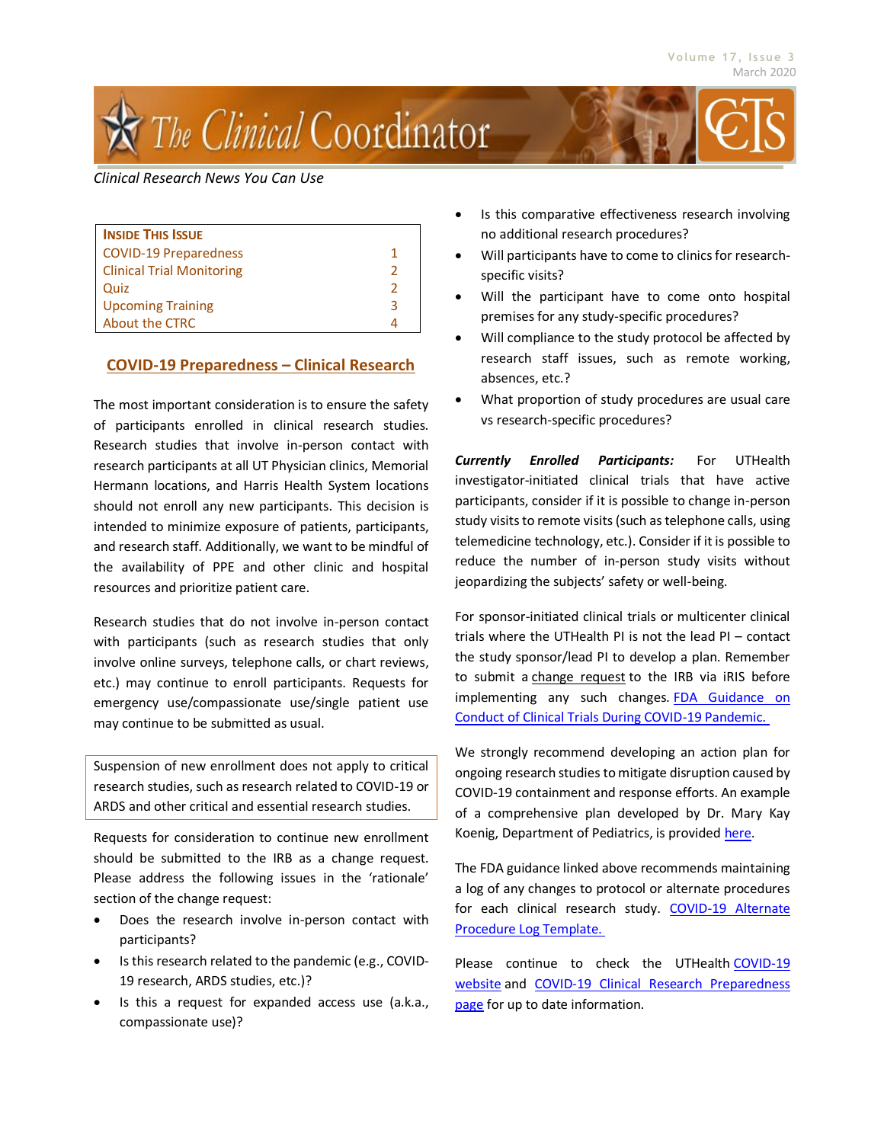# į The Clinical Coordinator

## *Clinical Research News You Can Use*

| <b>INSIDE THIS ISSUE</b>         |   |
|----------------------------------|---|
| <b>COVID-19 Preparedness</b>     |   |
| <b>Clinical Trial Monitoring</b> | 2 |
| Quiz                             | 2 |
| <b>Upcoming Training</b>         | ੨ |
| <b>About the CTRC</b>            |   |

# **COVID-19 Preparedness – Clinical Research**

The most important consideration is to ensure the safety of participants enrolled in clinical research studies. Research studies that involve in-person contact with research participants at all UT Physician clinics, Memorial Hermann locations, and Harris Health System locations should not enroll any new participants. This decision is intended to minimize exposure of patients, participants, and research staff. Additionally, we want to be mindful of the availability of PPE and other clinic and hospital resources and prioritize patient care.

Research studies that do not involve in-person contact with participants (such as research studies that only involve online surveys, telephone calls, or chart reviews, etc.) may continue to enroll participants. Requests for emergency use/compassionate use/single patient use may continue to be submitted as usual.

Suspension of new enrollment does not apply to critical research studies, such as research related to COVID-19 or ARDS and other critical and essential research studies.

Requests for consideration to continue new enrollment should be submitted to the IRB as a change request. Please address the following issues in the 'rationale' section of the change request:

- Does the research involve in-person contact with participants?
- Is this research related to the pandemic (e.g., COVID-19 research, ARDS studies, etc.)?
- Is this a request for expanded access use (a.k.a., compassionate use)?
- Is this comparative effectiveness research involving no additional research procedures?
- Will participants have to come to clinics for researchspecific visits?
- Will the participant have to come onto hospital premises for any study-specific procedures?
- Will compliance to the study protocol be affected by research staff issues, such as remote working, absences, etc.?
- What proportion of study procedures are usual care vs research-specific procedures?

*Currently Enrolled Participants:* For UTHealth investigator-initiated clinical trials that have active participants, consider if it is possible to change in-person study visits to remote visits (such as telephone calls, using telemedicine technology, etc.). Consider if it is possible to reduce the number of in-person study visits without jeopardizing the subjects' safety or well-being.

For sponsor-initiated clinical trials or multicenter clinical trials where the UTHealth PI is not the lead PI – contact the study sponsor/lead PI to develop a plan. Remember to submit a change request to the IRB via iRIS before implementing any such changes. FDA Guidance on [Conduct of Clinical Trials During COVID-19 Pandemic.](https://www.fda.gov/media/136238/download)

We strongly recommend developing an action plan for ongoing research studies to mitigate disruption caused by COVID-19 containment and response efforts. An example of a comprehensive plan developed by Dr. Mary Kay Koenig, Department of Pediatrics, is provided [here.](https://www.uth.edu/cphs/SAMPLE%20Research%20Participant%20Visits%20during%20COVID%20epidemic.docx)

The FDA guidance linked above recommends maintaining a log of any changes to protocol or alternate procedures for each clinical research study. COVID-19 Alternate [Procedure Log Template.](https://www.uth.edu/cphs/templates-and-forms/COVID-19AlternateProcedureLog.xlsx)

Please continue to check the UTHealth [COVID-19](https://www.uth.edu/news/covid-19/)  [website](https://www.uth.edu/news/covid-19/) and [COVID-19 Clinical Research Preparedness](https://www.uth.edu/cphs/clinical-research-emergency-preparedness) [page](https://www.uth.edu/cphs/clinical-research-emergency-preparedness) for up to date information.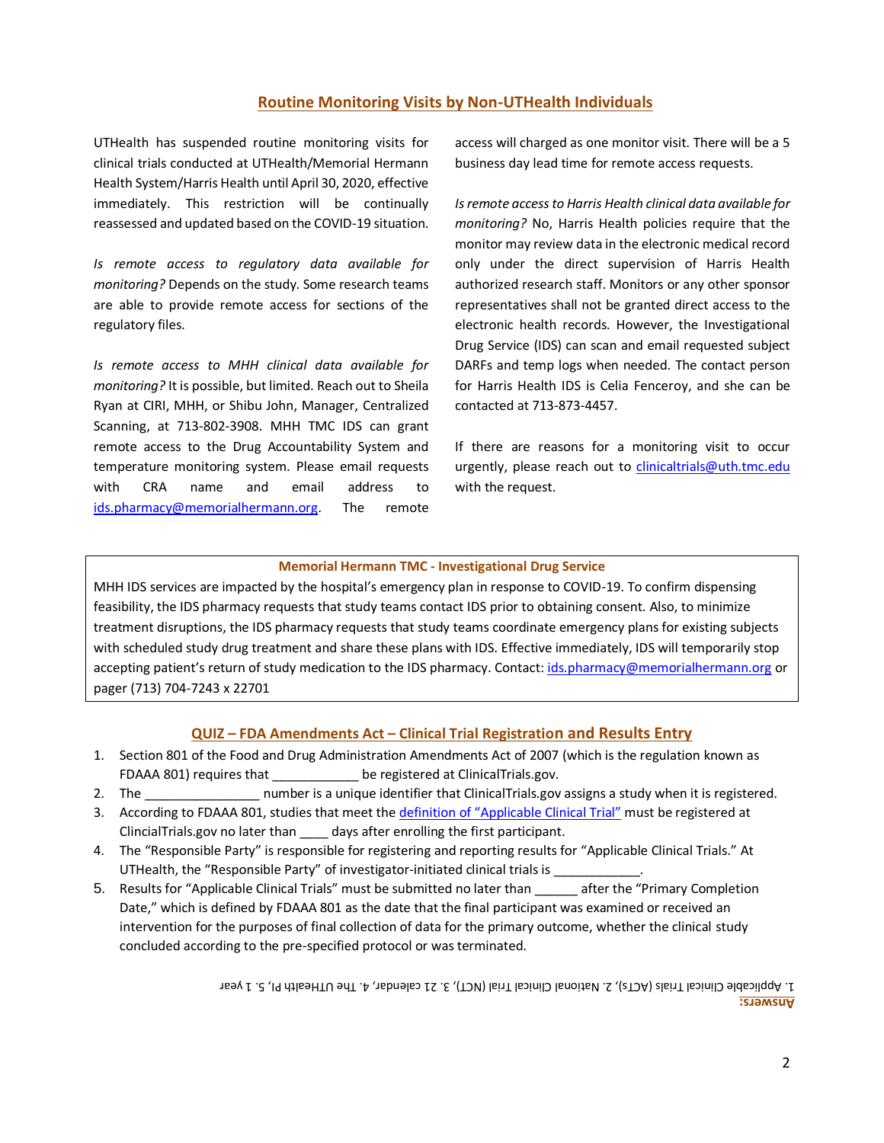## **Routine Monitoring Visits by Non-UTHealth Individuals**

UTHealth has suspended routine monitoring visits for clinical trials conducted at UTHealth/Memorial Hermann Health System/Harris Health until April 30, 2020, effective immediately. This restriction will be continually reassessed and updated based on the COVID-19 situation.

*Is remote access to regulatory data available for monitoring?* Depends on the study. Some research teams are able to provide remote access for sections of the regulatory files.

*Is remote access to MHH clinical data available for monitoring?* It is possible, but limited. Reach out to Sheila Ryan at CIRI, MHH, or Shibu John, Manager, Centralized Scanning, at 713-802-3908. MHH TMC IDS can grant remote access to the Drug Accountability System and temperature monitoring system. Please email requests with CRA name and email address to [ids.pharmacy@memorialhermann.org.](mailto:ids.pharmacy@memorialhermann.org) The remote

access will charged as one monitor visit. There will be a 5 business day lead time for remote access requests.

*Is remote access to Harris Health clinical data available for monitoring?* No, Harris Health policies require that the monitor may review data in the electronic medical record only under the direct supervision of Harris Health authorized research staff. Monitors or any other sponsor representatives shall not be granted direct access to the electronic health records. However, the Investigational Drug Service (IDS) can scan and email requested subject DARFs and temp logs when needed. The contact person for Harris Health IDS is Celia Fenceroy, and she can be contacted at 713-873-4457.

If there are reasons for a monitoring visit to occur urgently, please reach out to [clinicaltrials@uth.tmc.edu](mailto:clinicaltrials@uth.tmc.edu) with the request.

#### **Memorial Hermann TMC - Investigational Drug Service**

MHH IDS services are impacted by the hospital's emergency plan in response to COVID-19. To confirm dispensing feasibility, the IDS pharmacy requests that study teams contact IDS prior to obtaining consent. Also, to minimize treatment disruptions, the IDS pharmacy requests that study teams coordinate emergency plans for existing subjects with scheduled study drug treatment and share these plans with IDS. Effective immediately, IDS will temporarily stop accepting patient's return of study medication to the IDS pharmacy. Contact[: ids.pharmacy@memorialhermann.org](mailto:ids.pharmacy@memorialhermann.org) or pager (713) 704-7243 x 22701

## **QUIZ – FDA Amendments Act – Clinical Trial Registration and Results Entry**

- 1. Section 801 of the Food and Drug Administration Amendments Act of 2007 (which is the regulation known as FDAAA 801) requires that be registered at ClinicalTrials.gov.
- 2. The \_\_\_\_\_\_\_\_\_\_\_\_\_\_\_\_\_\_\_\_\_ number is a unique identifier that ClinicalTrials.gov assigns a study when it is registered.
- 3. According to FDAAA 801, studies that meet the [definition of "Applicable Clinical Trial"](https://prsinfo.clinicaltrials.gov/ACT_Checklist.pdf) must be registered at ClincialTrials.gov no later than \_\_\_\_ days after enrolling the first participant.
- 4. The "Responsible Party" is responsible for registering and reporting results for "Applicable Clinical Trials." At UTHealth, the "Responsible Party" of investigator-initiated clinical trials is \_\_
- 5. Results for "Applicable Clinical Trials" must be submitted no later than \_\_\_\_\_\_ after the "Primary Completion Date," which is defined by FDAAA 801 as the date that the final participant was examined or received an intervention for the purposes of final collection of data for the primary outcome, whether the clinical study concluded according to the pre-specified protocol or was terminated.

**Answers:** 1. Applicable Clinical Trial sletters of . 21 year of the . And the . The OTHealth PI, 5. 1 year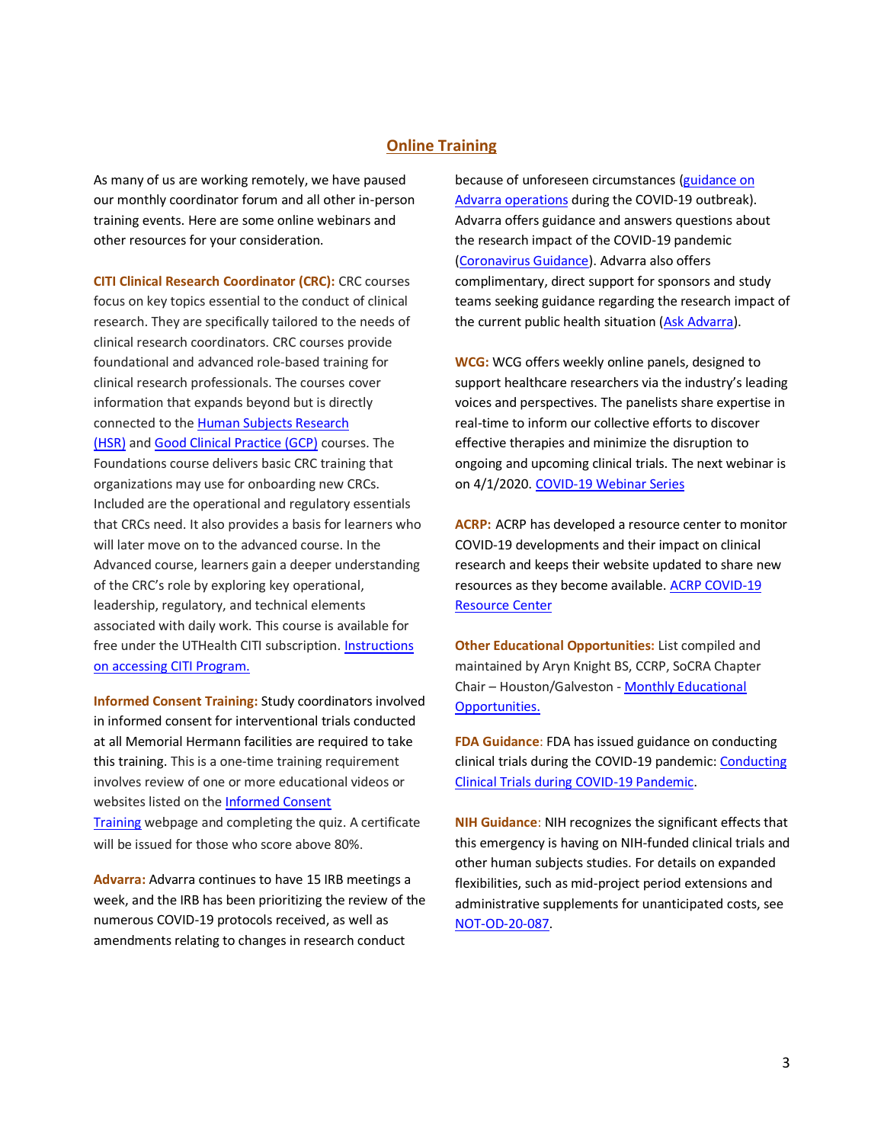## **Online Training**

As many of us are working remotely, we have paused our monthly coordinator forum and all other in-person training events. Here are some online webinars and other resources for your consideration.

**CITI Clinical Research Coordinator (CRC):** CRC courses focus on key topics essential to the conduct of clinical research. They are specifically tailored to the needs of clinical research coordinators. CRC courses provide foundational and advanced role-based training for clinical research professionals. The courses cover information that expands beyond but is directly connected to the [Human Subjects Research](https://about.citiprogram.org/en/series/human-subjects-research-hsr/)  [\(HSR\)](https://about.citiprogram.org/en/series/human-subjects-research-hsr/) and [Good Clinical Practice \(GCP\)](https://about.citiprogram.org/en/series/good-clinical-practice-gcp/) courses. The Foundations course delivers basic CRC training that organizations may use for onboarding new CRCs. Included are the operational and regulatory essentials that CRCs need. It also provides a basis for learners who will later move on to the advanced course. In the Advanced course, learners gain a deeper understanding of the CRC's role by exploring key operational, leadership, regulatory, and technical elements associated with daily work. This course is available for free under the UTHealth CITI subscription[. Instructions](https://www.uth.edu/cphs/for-researchers/training.htm)  [on accessing CITI Program.](https://www.uth.edu/cphs/for-researchers/training.htm)

**Informed Consent Training:** Study coordinators involved in informed consent for interventional trials conducted at all Memorial Hermann facilities are required to take this training. This is a one-time training requirement involves review of one or more educational videos or websites listed on the [Informed Consent](https://www.uth.edu/ctrc/training/informed-consent-training.htm)  [Training](https://www.uth.edu/ctrc/training/informed-consent-training.htm) webpage and completing the quiz. A certificate will be issued for those who score above 80%.

**Advarra:** Advarra continues to have 15 IRB meetings a week, and the IRB has been prioritizing the review of the numerous COVID-19 protocols received, as well as amendments relating to changes in research conduct

because of unforeseen circumstances [\(guidance on](https://www.advarra.com/about-advarra/news/impact-of-coronavirus-outbreak-on-protocols-under-advarra-irb-review/)  [Advarra operations](https://www.advarra.com/about-advarra/news/impact-of-coronavirus-outbreak-on-protocols-under-advarra-irb-review/) during the COVID-19 outbreak). Advarra offers guidance and answers questions about the research impact of the COVID-19 pandemic [\(Coronavirus Guidance\)](https://www.advarra.com/coronavirus-guidance/). Advarra also offers complimentary, direct support for sponsors and study teams seeking guidance regarding the research impact of the current public health situation [\(Ask Advarra\)](https://www.advarra.com/ask-advarra/?utm_source=in-text-link&utm_medium=website&utm_campaign=impact-of-coronavirus-outbreak-on-protocols-under-advarra-irb-review&utm_content=covid-19-questions-form).

**WCG:** WCG offers weekly online panels, designed to support healthcare researchers via the industry's leading voices and perspectives. The panelists share expertise in real-time to inform our collective efforts to discover effective therapies and minimize the disruption to ongoing and upcoming clinical trials. The next webinar is on 4/1/2020[. COVID-19 Webinar Series](https://www.wcgclinical.com/events/covid-19-webinar-series/)

**ACRP:** ACRP has developed a resource center to monitor COVID-19 developments and their impact on clinical research and keeps their website updated to share new resources as they become available. [ACRP COVID-19](https://acrpnet.org/covid-19-news-resource-center/)  [Resource Center](https://acrpnet.org/covid-19-news-resource-center/)

**Other Educational Opportunities:** List compiled and maintained by Aryn Knight BS, CCRP, SoCRA Chapter Chair – Houston/Galveston - [Monthly Educational](https://redcap.thi2.org/thidocument/Images/thi/SoCRA/SoCRA%20Free%20Educational%20Webinar%20(Feb%20March%202020).pdf)  [Opportunities.](https://redcap.thi2.org/thidocument/Images/thi/SoCRA/SoCRA%20Free%20Educational%20Webinar%20(Feb%20March%202020).pdf)

**FDA Guidance**: FDA has issued guidance on conducting clinical trials during the COVID-19 pandemic: Conducting [Clinical Trials during COVID-19 Pandemic.](https://www.fda.gov/media/136238/download)

**NIH Guidance**: NIH recognizes the significant effects that this emergency is having on NIH-funded clinical trials and other human subjects studies. For details on expanded flexibilities, such as mid-project period extensions and administrative supplements for unanticipated costs, see [NOT-OD-20-087.](https://grants.nih.gov/grants/guide/notice-files/NOT-OD-20-087.html)